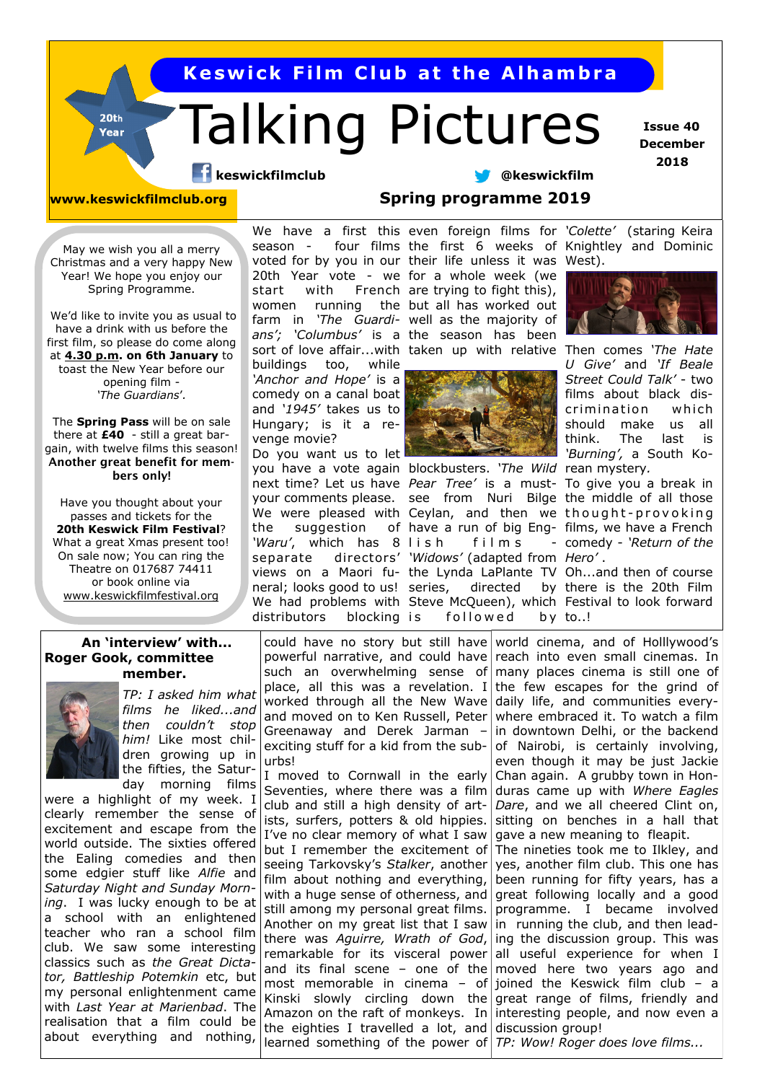**K e sw i c k F i lm C l ub a t t h e A l h amb r a**

# Talking Pictures

 **Issue 40 December 2018**

**keswickfilmclub @keswickfilm** 

 $20th$ Year

**www.keswickfilmclub.org Spring programme 2019**

May we wish you all a merry Christmas and a very happy New Year! We hope you enjoy our Spring Programme.

We'd like to invite you as usual to have a drink with us before the first film, so please do come along at **4.30 p.m. on 6th January** to toast the New Year before our opening film - *'The Guardians*'*.* 

The **Spring Pass** will be on sale there at **£40** - still a great bargain, with twelve films this season! **Another great benefit for members only!**

Have you thought about your passes and tickets for the **20th Keswick Film Festival**? What a great Xmas present too! On sale now; You can ring the Theatre on 017687 74411 or book online via [www.keswickfilmfestival.org](http://www.keswickfilmfestival.org)

### **An 'interview' with... Roger Gook, committee member.**



*TP: I asked him what films he liked...and then couldn't stop him!* Like most children growing up in the fifties, the Saturday morning films

were a highlight of my week. I clearly remember the sense of excitement and escape from the world outside. The sixties offered the Ealing comedies and then some edgier stuff like *Alfie* and *Saturday Night and Sunday Morning*. I was lucky enough to be at a school with an enlightened teacher who ran a school film club. We saw some interesting classics such as *the Great Dictator, Battleship Potemkin* etc, but my personal enlightenment came with *Last Year at Marienbad*. The realisation that a film could be about everything and nothing,

voted for by you in our their life unless it was West). women running buildings too, while *'Anchor and Hope'* is a comedy on a canal boat and *'1945'* takes us to Hungary; is it a revenge movie? Do you want us to let

you have a vote again blockbusters. *'The Wild*  rean mystery*.*  next time? Let us have *Pear Tree'* is a must-To give you a break in your comments please. see from Nuri Bilge the middle of all those We were pleased with Ceylan, and then we thought-provoking the suggestion *'Waru'*, which has 8 separate directors' *'Widows'* (adapted from *Hero'* . views on a Maori fu-the Lynda LaPlante TV Oh...and then of course neral; looks good to us! distributors blocking is

We have a first this even foreign films for *'Colette'* (staring Keira season - four films the first 6 weeks of Knightley and Dominic

20th Year vote - we for a whole week (we start with French are trying to fight this), farm in *'The Guardi-*well as the majority of *ans'; 'Columbus'* is a the season has been sort of love affair...with taken up with relative Then comes '*The Hate* the but all has worked out



have a run of big Eng-films, we have a French  $film s$ directed followed



*U Give'* and *'If Beale Street Could Talk'* - two films about black discrimination which should make us all think. The last is *'Burning',* a South Ko-

comedy - *'Return of the* 

We had problems with Steve McQueen), which Festival to look forward by there is the 20th Film by to..!

could have no story but still have world cinema, and of Holllywood's powerful narrative, and could have reach into even small cinemas. In such an overwhelming sense of many places cinema is still one of place, all this was a revelation. I the few escapes for the grind of worked through all the New Wave daily life, and communities everyand moved on to Ken Russell, Peter where embraced it. To watch a film Greenaway and Derek Jarman – exciting stuff for a kid from the suburbs!

I moved to Cornwall in the early Seventies, where there was a film duras came up with *Where Eagles*  club and still a high density of artists, surfers, potters & old hippies. I've no clear memory of what I saw but I remember the excitement of seeing Tarkovsky's *Stalker*, another film about nothing and everything, with a huge sense of otherness, and still among my personal great films. the eighties I travelled a lot, and discussion group! learned something of the power of *TP: Wow! Roger does love films...*

in downtown Delhi, or the backend of Nairobi, is certainly involving, even though it may be just Jackie Chan again. A grubby town in Hon-*Dare*, and we all cheered Clint on, sitting on benches in a hall that gave a new meaning to fleapit. The nineties took me to Ilkley, and yes, another film club. This one has been running for fifty years, has a great following locally and a good

Another on my great list that I saw in running the club, and then leadthere was *Aguirre, Wrath of God*, ing the discussion group. This was remarkable for its visceral power all useful experience for when I and its final scene – one of the moved here two years ago and most memorable in cinema – of joined the Keswick film club – a Kinski slowly circling down the great range of films, friendly and Amazon on the raft of monkeys. In interesting people, and now even a programme. I became involved